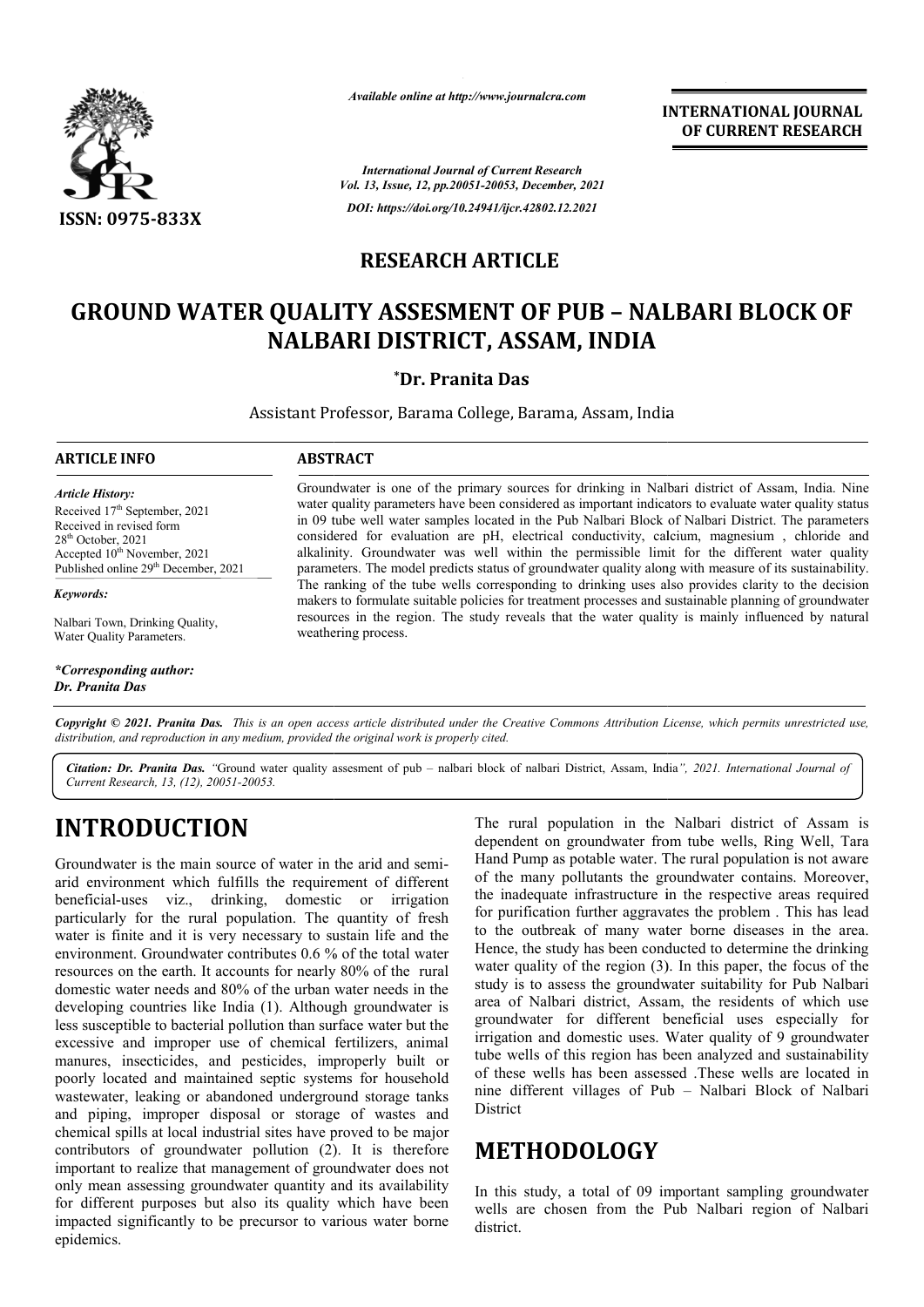

*Available online at http://www.journalcra.com*

**INTERNATIONAL JOURNAL OF CURRENT RESEARCH**

*International Journal of Current Research Vol. 13, Issue, 12, pp.20051-20053, December, 2021 DOI: https://doi.org/10.24941/ijcr.42802.12.2021*

## **RESEARCH ARTICLE**

# **GROUND WATER QUALITY ASSESMENT OF PUB – NALBARI BLOCK OF NALBARI DISTRICT, ASSAM, INDIA**

### **\*Dr. Pranita Das**

Assistant Professor, Barama College, Barama, Assam, India

#### **ARTICLE INFO ABSTRACT**

*Article History: Article History:* Received 17<sup>th</sup> September, 2021 Received in revised form Received in revised form Received in revised form  $28<sup>th</sup>$  October, 2021 Accepted  $10^{\text{th}}$  November, 2021 Published online 29<sup>th</sup> December, 2021

*Keywords:*

Nalbari Town, Drinking Quality, Water Quality Parameters.

*\*Corresponding author: Dr. Pranita Das*

Groundwater is one of the primary sources for drinking in Nalbari district of Assam, India. Nine water quality parameters have been considered as important indicators to evaluate water quality status in 09 tube well water samples located in the Pub Nalbari Block of Nalbari District. The parameters considered for evaluation are pH, electrical conductivity, calcium, magnesium , chloride and alkalinity. Groundwater was well within the permissible limit for the different water quality parameters. The model predicts status of groundwater quality along with measure of its sustainability. The ranking of the tube wells corresponding to drinking uses also provides clarity to the decision makers to formulate suitable policies for treatment processes and sustainable planning of groundwater resources in the region. The study reveals that the water quality is mainly influenced by natural weathering process. Groundwater is one of the primary sources for drinking in Nalbari district of Assam, India. Nine water quality parameters have been considered as important indicators to evaluate water quality status in 09 tube well water

Copyright © 2021. Pranita Das. This is an open access article distributed under the Creative Commons Attribution License, which permits unrestricted use, *distribution, and reproduction in any medium, provided the original work is properly cited.*

*Citation: Dr. Pranita Das. "*Ground water quality assesment of pub – nalbari block of nalbari District, Assam, India *", 2021. International Journal ofCurrent Research, 13, (12), 20051-20053.*

# **INTRODUCTION**

Groundwater is the main source of water in the arid and semiarid environment which fulfills the requirement of different beneficial-uses viz., drinking, domestic or irrigation particularly for the rural population. The quantity of fresh water is finite and it is very necessary to sustain life and the environment. Groundwater contributes 0.6 % of the total water resources on the earth. It accounts for nearly 80% of the rural domestic water needs and 80% of the urban water needs in the developing countries like India (1). Although groundwater is less susceptible to bacterial pollution than surface water but the excessive and improper use of chemical fertilizers, animal manures, insecticides, and pesticides, improperly built or poorly located and maintained septic systems for househ household wastewater, leaking or abandoned underground storage tanks and piping, improper disposal or storage of wastes and chemical spills at local industrial sites have proved to be major contributors of groundwater pollution (2) ). It is therefore important to realize that management of groundwater does not only mean assessing groundwater quantity and its availability for different purposes but also its quality which have been impacted significantly to be precursor to various water borne epidemics. uses viz., drinking, domes<br>y for the rural population. The<br>nite and it is very necessary to

The rural population in the Nalbari district of Assam is dependent on groundwater from tube wells, Ring Well, Tara Hand Pump as potable water. The rural population is not aware of the many pollutants the groundwater contains. Moreover, the inadequate infrastructure in the respective areas required for purification further aggravates the problem . This has lead to the outbreak of many water borne diseases in the area. Hence, the study has been conducted to determine the drinking water quality of the region  $(3)$ . In this paper, the focus of the study is to assess the groundwater suitability for Pub Nalbari area of Nalbari district, Assam, the residents of which use groundwater for different beneficial uses especially for study is to assess the groundwater suitability for Pub Nalbari<br>area of Nalbari district, Assam, the residents of which use<br>groundwater for different beneficial uses especially for<br>irrigation and domestic uses. Water qualit tube wells of this region has been analyzed and sustainability of these wells has been assessed .These wells are located in nine different villages of Pub **District** The rural population in the Nalbari district of Assam is dependent on groundwater from tube wells, Ring Well, Tara Hand Pump as potable water. The rural population is not aware of the many pollutants the groundwater contai e wells of this region has been analyzed and sustainability<br>these wells has been assessed .These wells are located in<br>e different villages of Pub – Nalbari Block of Nalbari

# **METHODOLOGY**

In this study, a total of 09 important sampling groundwater wells are chosen from the Pub Nalbari region of Nalbari district.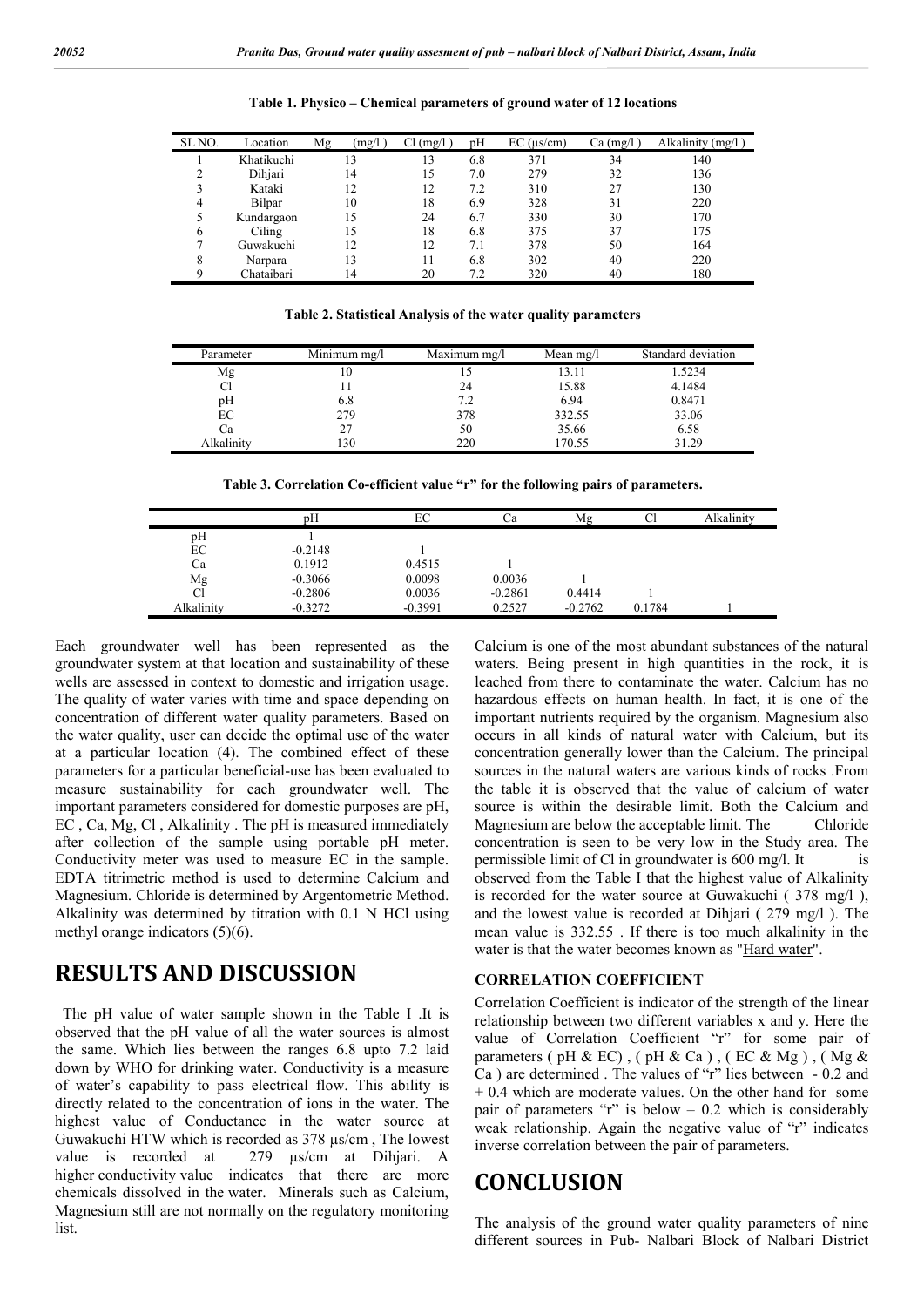| SL <sub>NO</sub> . | Location   | (mg/l)<br>Mg   | Cl (mg/l) | pH  | $EC$ ( $\mu s/cm$ ) | Ca (mg/l | Alkalinity (mg/l) |
|--------------------|------------|----------------|-----------|-----|---------------------|----------|-------------------|
|                    | Khatikuchi | 13             | 13        | 6.8 | 371                 | 34       | 140               |
|                    | Dihjari    | 14             | 15        | 7.0 | 279                 | 32       | 136               |
|                    | Kataki     | $\overline{2}$ | 12        | 7.2 | 310                 | 27       | 130               |
| 4                  | Bilpar     | 10             | 18        | 6.9 | 328                 | 31       | 220               |
|                    | Kundargaon | .5             | 24        | 6.7 | 330                 | 30       | 170               |
| 6                  | Ciling     | 15             | 18        | 6.8 | 375                 | 37       | 175               |
|                    | Guwakuchi  | $\overline{2}$ | 12        | 7.1 | 378                 | 50       | 164               |
| 8                  | Narpara    | 13             |           | 6.8 | 302                 | 40       | 220               |
| Q                  | Chataibari | 14             | 20        | 7.2 | 320                 | 40       | 180               |

**Table 1. Physico – Chemical parameters of ground water of 12 locations**

**Table 2. Statistical Analysis of the water quality parameters**

| Parameter  | Minimum $mg/l$ | Maximum mg/l | Mean $mg/l$ | Standard deviation |
|------------|----------------|--------------|-------------|--------------------|
| Mg         | 10             |              | 13.11       | 1.5234             |
|            |                | 24           | 15.88       | 4.1484             |
| pH         | 6.8            | 7.2          | 6.94        | 0.8471             |
| EC         | 279            | 378          | 332.55      | 33.06              |
| Сa         |                | 50           | 35.66       | 6.58               |
| Alkalinity | 130            | 220          | 170.55      | 31.29              |

**Table 3. Correlation Co-efficient value "r" for the following pairs of parameters.**

|            | pH        | EС        | Сa        | Mg        | Cl     | Alkalinity |
|------------|-----------|-----------|-----------|-----------|--------|------------|
| pH         |           |           |           |           |        |            |
| EС         | $-0.2148$ |           |           |           |        |            |
| Ca         | 0.1912    | 0.4515    |           |           |        |            |
| Mg         | $-0.3066$ | 0.0098    | 0.0036    |           |        |            |
| Cl         | $-0.2806$ | 0.0036    | $-0.2861$ | 0.4414    |        |            |
| Alkalinity | $-0.3272$ | $-0.3991$ | 0.2527    | $-0.2762$ | 0.1784 |            |

Each groundwater well has been represented as the groundwater system at that location and sustainability of these wells are assessed in context to domestic and irrigation usage. The quality of water varies with time and space depending on concentration of different water quality parameters. Based on the water quality, user can decide the optimal use of the water at a particular location (4). The combined effect of these parameters for a particular beneficial-use has been evaluated to measure sustainability for each groundwater well. The important parameters considered for domestic purposes are pH, EC , Ca, Mg, Cl , Alkalinity . The pH is measured immediately after collection of the sample using portable pH meter. Conductivity meter was used to measure EC in the sample. EDTA titrimetric method is used to determine Calcium and Magnesium. Chloride is determined by Argentometric Method. Alkalinity was determined by titration with 0.1 N HCl using methyl orange indicators (5)(6).

# **RESULTS AND DISCUSSION**

 The pH value of water sample shown in the Table I .It is observed that the pH value of all the water sources is almost the same. Which lies between the ranges 6.8 upto 7.2 laid down by WHO for drinking water. Conductivity is a measure of water's capability to pass electrical flow. This ability is directly related to the concentration of ions in the water. The highest value of Conductance in the water source at Guwakuchi HTW which is recorded as 378 µs/cm , The lowest value is recorded at 279 µs/cm at Dihjari. A higher conductivity value indicates that there are more chemicals dissolved in the water. Minerals such as Calcium, Magnesium still are not normally on the regulatory monitoring list.

Calcium is one of the most abundant substances of the natural waters. Being present in high quantities in the rock, it is leached from there to contaminate the water. Calcium has no hazardous effects on human health. In fact, it is one of the important nutrients required by the organism. Magnesium also occurs in all kinds of natural water with Calcium, but its concentration generally lower than the Calcium. The principal sources in the natural waters are various kinds of rocks .From the table it is observed that the value of calcium of water source is within the desirable limit. Both the Calcium and Magnesium are below the acceptable limit. The Chloride concentration is seen to be very low in the Study area. The permissible limit of Cl in groundwater is  $600 \text{ mg/l}$ . It is observed from the Table I that the highest value of Alkalinity is recorded for the water source at Guwakuchi ( 378 mg/l ), and the lowest value is recorded at Dihjari ( 279 mg/l ). The mean value is 332.55 . If there is too much alkalinity in the water is that the water becomes known as "Hard water".

#### **CORRELATION COEFFICIENT**

Correlation Coefficient is indicator of the strength of the linear relationship between two different variables x and y. Here the value of Correlation Coefficient "r" for some pair of parameters ( pH & EC) , ( pH & Ca ) , ( EC & Mg ) , ( Mg & Ca ) are determined . The values of "r" lies between - 0.2 and + 0.4 which are moderate values. On the other hand for some pair of parameters "r" is below  $-0.2$  which is considerably weak relationship. Again the negative value of "r" indicates inverse correlation between the pair of parameters.

## **CONCLUSION**

The analysis of the ground water quality parameters of nine different sources in Pub- Nalbari Block of Nalbari District